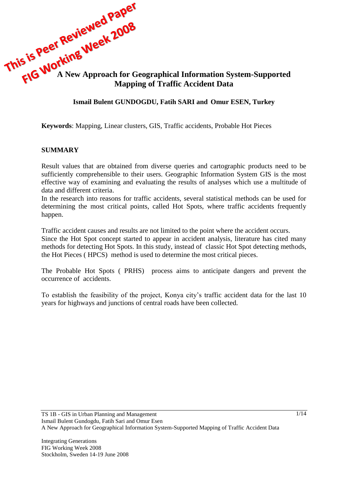

## **Ismail Bulent GUNDOGDU, Fatih SARI and Omur ESEN, Turkey**

**Keywords**: Mapping, Linear clusters, GIS, Traffic accidents, Probable Hot Pieces

#### **SUMMARY**

Result values that are obtained from diverse queries and cartographic products need to be sufficiently comprehensible to their users. Geographic Information System GIS is the most effective way of examining and evaluating the results of analyses which use a multitude of data and different criteria.

In the research into reasons for traffic accidents, several statistical methods can be used for determining the most critical points, called Hot Spots, where traffic accidents frequently happen.

Traffic accident causes and results are not limited to the point where the accident occurs.

Since the Hot Spot concept started to appear in accident analysis, literature has cited many methods for detecting Hot Spots. In this study, instead of classic Hot Spot detecting methods, the Hot Pieces ( HPCS) method is used to determine the most critical pieces.

The Probable Hot Spots ( PRHS) process aims to anticipate dangers and prevent the occurrence of accidents.

To establish the feasibility of the project, Konya city's traffic accident data for the last 10 years for highways and junctions of central roads have been collected.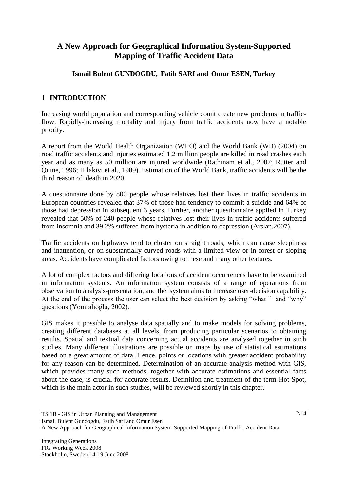# **A New Approach for Geographical Information System-Supported Mapping of Traffic Accident Data**

## **Ismail Bulent GUNDOGDU, Fatih SARI and Omur ESEN, Turkey**

## **1 INTRODUCTION**

Increasing world population and corresponding vehicle count create new problems in trafficflow. Rapidly-increasing mortality and injury from traffic accidents now have a notable priority.

A report from the World Health Organization (WHO) and the World Bank (WB) (2004) on road traffic accidents and injuries estimated 1.2 million people are killed in road crashes each year and as many as 50 million are injured worldwide (Rathinam et al., 2007; Rutter and Quine, 1996; Hilakivi et al., 1989). Estimation of the World Bank, traffic accidents will be the third reason of death in 2020.

A questionnaire done by 800 people whose relatives lost their lives in traffic accidents in European countries revealed that 37% of those had tendency to commit a suicide and 64% of those had depression in subsequent 3 years. Further, another questionnaire applied in Turkey revealed that 50% of 240 people whose relatives lost their lives in traffic accidents suffered from insomnia and 39.2% suffered from hysteria in addition to depression (Arslan,2007).

Traffic accidents on highways tend to cluster on straight roads, which can cause sleepiness and inattention, or on substantially curved roads with a limited view or in forest or sloping areas. Accidents have complicated factors owing to these and many other features.

A lot of complex factors and differing locations of accident occurrences have to be examined in information systems. An information system consists of a range of operations from observation to analysis-presentation, and the system aims to increase user-decision capability. At the end of the process the user can select the best decision by asking "what " and "why" questions (Yomralıoğlu, 2002).

GIS makes it possible to analyse data spatially and to make models for solving problems, creating different databases at all levels, from producing particular scenarios to obtaining results. Spatial and textual data concerning actual accidents are analysed together in such studies. Many different illustrations are possible on maps by use of statistical estimations based on a great amount of data. Hence, points or locations with greater accident probability for any reason can be determined. Determination of an accurate analysis method with GIS, which provides many such methods, together with accurate estimations and essential facts about the case, is crucial for accurate results. Definition and treatment of the term Hot Spot, which is the main actor in such studies, will be reviewed shortly in this chapter.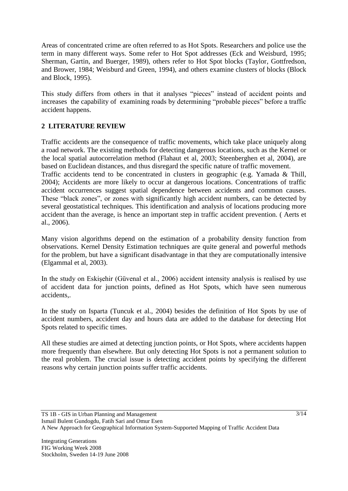Areas of concentrated crime are often referred to as Hot Spots. Researchers and police use the term in many different ways. Some refer to Hot Spot addresses (Eck and Weisburd, 1995; Sherman, Gartin, and Buerger, 1989), others refer to Hot Spot blocks (Taylor, Gottfredson, and Brower, 1984; Weisburd and Green, 1994), and others examine clusters of blocks (Block and Block, 1995).

This study differs from others in that it analyses "pieces" instead of accident points and increases the capability of examining roads by determining "probable pieces" before a traffic accident happens.

## **2 LITERATURE REVIEW**

Traffic accidents are the consequence of traffic movements, which take place uniquely along a road network. The existing methods for detecting dangerous locations, such as the Kernel or the local spatial autocorrelation method (Flahaut et al, 2003; Steenberghen et al, 2004), are based on Euclidean distances, and thus disregard the specific nature of traffic movement. Traffic accidents tend to be concentrated in clusters in geographic (e.g. Yamada & Thill, 2004); Accidents are more likely to occur at dangerous locations. Concentrations of traffic accident occurrences suggest spatial dependence between accidents and common causes. These "black zones", or zones with significantly high accident numbers, can be detected by several geostatistical techniques. This identification and analysis of locations producing more accident than the average, is hence an important step in traffic accident prevention. ( Aerts et al., 2006).

Many vision algorithms depend on the estimation of a probability density function from observations. Kernel Density Estimation techniques are quite general and powerful methods for the problem, but have a significant disadvantage in that they are computationally intensive (Elgammal et al, 2003).

In the study on Eskişehir (Güvenal et al., 2006) accident intensity analysis is realised by use of accident data for junction points, defined as Hot Spots, which have seen numerous accidents,.

In the study on Isparta (Tuncuk et al., 2004) besides the definition of Hot Spots by use of accident numbers, accident day and hours data are added to the database for detecting Hot Spots related to specific times.

All these studies are aimed at detecting junction points, or Hot Spots, where accidents happen more frequently than elsewhere. But only detecting Hot Spots is not a permanent solution to the real problem. The crucial issue is detecting accident points by specifying the different reasons why certain junction points suffer traffic accidents.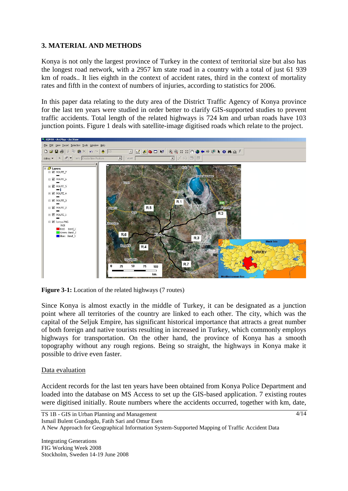## **3. MATERIAL AND METHODS**

Konya is not only the largest province of Turkey in the context of territorial size but also has the longest road network, with a 2957 km state road in a country with a total of just 61 939 km of roads.. It lies eighth in the context of accident rates, third in the context of mortality rates and fifth in the context of numbers of injuries, according to statistics for 2006.

In this paper data relating to the duty area of the District Traffic Agency of Konya province for the last ten years were studied in order better to clarify GIS-supported studies to prevent traffic accidents. Total length of the related highways is 724 km and urban roads have 103 junction points. Figure 1 deals with satellite-image digitised roads which relate to the project.



Figure 3-1: Location of the related highways (7 routes)

Since Konya is almost exactly in the middle of Turkey, it can be designated as a junction point where all territories of the country are linked to each other. The city, which was the capital of the Seljuk Empire, has significant historical importance that attracts a great number of both foreign and native tourists resulting in increased in Turkey, which commonly employs highways for transportation. On the other hand, the province of Konya has a smooth topography without any rough regions. Being so straight, the highways in Konya make it possible to drive even faster.

### Data evaluation

Accident records for the last ten years have been obtained from Konya Police Department and loaded into the database on MS Access to set up the GIS-based application. 7 existing routes were digitised initially. Route numbers where the accidents occurred, together with km, date,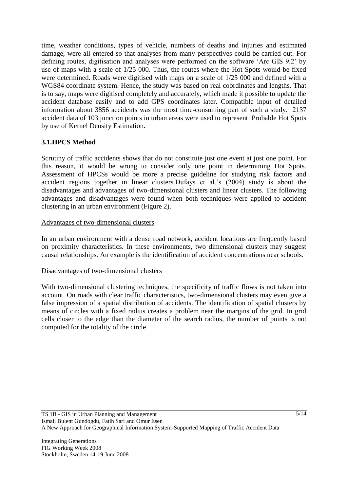time, weather conditions, types of vehicle, numbers of deaths and injuries and estimated damage, were all entered so that analyses from many perspectives could be carried out. For defining routes, digitisation and analyses were performed on the software "Arc GIS 9.2" by use of maps with a scale of 1/25 000. Thus, the routes where the Hot Spots would be fixed were determined. Roads were digitised with maps on a scale of 1/25 000 and defined with a WGS84 coordinate system. Hence, the study was based on real coordinates and lengths. That is to say, maps were digitised completely and accurately, which made it possible to update the accident database easily and to add GPS coordinates later. Compatible input of detailed information about 3856 accidents was the most time-consuming part of such a study. 2137 accident data of 103 junction points in urban areas were used to represent Probable Hot Spots by use of Kernel Density Estimation.

## **3.1.HPCS Method**

Scrutiny of traffic accidents shows that do not constitute just one event at just one point. For this reason, it would be wrong to consider only one point in determining Hot Spots. Assessment of HPCSs would be more a precise guideline for studying risk factors and accident regions together in linear clusters.Dufays et al."s (2004) study is about the disadvantages and advantages of two-dimensional clusters and linear clusters. The following advantages and disadvantages were found when both techniques were applied to accident clustering in an urban environment (Figure 2).

## Advantages of two-dimensional clusters

In an urban environment with a dense road network, accident locations are frequently based on proximity characteristics. In these environments, two dimensional clusters may suggest causal relationships. An example is the identification of accident concentrations near schools.

### Disadvantages of two-dimensional clusters

With two-dimensional clustering techniques, the specificity of traffic flows is not taken into account. On roads with clear traffic characteristics, two-dimensional clusters may even give a false impression of a spatial distribution of accidents. The identification of spatial clusters by means of circles with a fixed radius creates a problem near the margins of the grid. In grid cells closer to the edge than the diameter of the search radius, the number of points is not computed for the totality of the circle.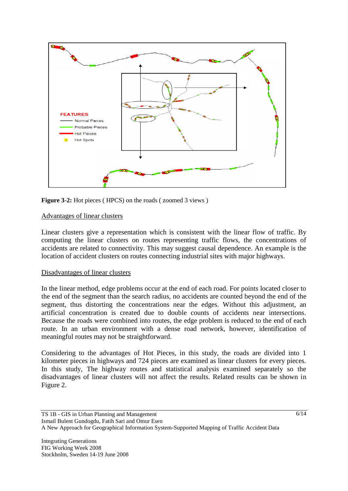

Figure 3-2: Hot pieces (HPCS) on the roads (zoomed 3 views)

### Advantages of linear clusters

Linear clusters give a representation which is consistent with the linear flow of traffic. By computing the linear clusters on routes representing traffic flows, the concentrations of accidents are related to connectivity. This may suggest causal dependence. An example is the location of accident clusters on routes connecting industrial sites with major highways.

#### Disadvantages of linear clusters

In the linear method, edge problems occur at the end of each road. For points located closer to the end of the segment than the search radius, no accidents are counted beyond the end of the segment, thus distorting the concentrations near the edges. Without this adjustment, an artificial concentration is created due to double counts of accidents near intersections. Because the roads were combined into routes, the edge problem is reduced to the end of each route. In an urban environment with a dense road network, however, identification of meaningful routes may not be straightforward.

Considering to the advantages of Hot Pieces, in this study, the roads are divided into 1 kilometer pieces in highways and 724 pieces are examined as linear clusters for every pieces. In this study, The highway routes and statistical analysis examined separately so the disadvantages of linear clusters will not affect the results. Related results can be shown in Figure 2.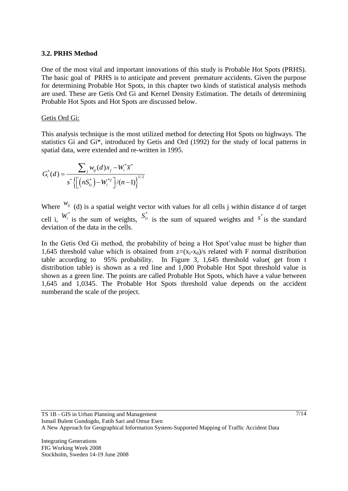#### **3.2. PRHS Method**

One of the most vital and important innovations of this study is Probable Hot Spots (PRHS). The basic goal of PRHS is to anticipate and prevent premature accidents. Given the purpose for determining Probable Hot Spots, in this chapter two kinds of statistical analysis methods are used. These are Getis Ord Gi and Kernel Density Estimation. The details of determining Probable Hot Spots and Hot Spots are discussed below.

#### Getis Ord Gi:

This analysis technique is the most utilized method for detecting Hot Spots on highways. The statistics Gi and Gi\*, introduced by Getis and Ord (1992) for the study of local patterns in spatial data, were extended and re-written in 1995.

$$
G_i^*(d) = \frac{\sum_{j} w_{ij}(d) x_j - W_i^* \overline{x}^*}{s^* \left\{ \left[ \left( n S_{1i}^* \right) - W_i^{*2} \right] / (n-1) \right\}^{1/2}}
$$

Where  $w_{ij}$  (d) is a spatial weight vector with values for all cells j within distance d of target cell i,  $W_i^*$  is the sum of weights,  $S_{1i}^*$  is the sum of squared weights and  $s^*$  is the standard deviation of the data in the cells.

In the Getis Ord Gi method, the probability of being a Hot Spot'value must be higher than 1,645 threshold value which is obtained from  $z=(x_i-x_0)/s$  related with F normal distribution table according to 95% probability. In Figure 3, 1,645 threshold value( get from t distribution table) is shown as a red line and 1,000 Probable Hot Spot threshold value is shown as a green line. The points are called Probable Hot Spots, which have a value between 1,645 and 1,0345. The Probable Hot Spots threshold value depends on the accident numberand the scale of the project.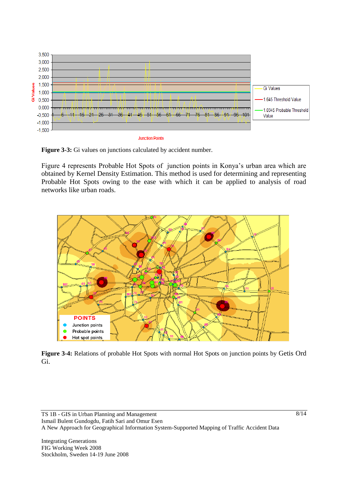

**Figure 3-3:** Gi values on junctions calculated by accident number.

Figure 4 represents Probable Hot Spots of junction points in Konya"s urban area which are obtained by Kernel Density Estimation. This method is used for determining and representing Probable Hot Spots owing to the ease with which it can be applied to analysis of road networks like urban roads.



**Figure 3-4:** Relations of probable Hot Spots with normal Hot Spots on junction points by Getis Ord Gi.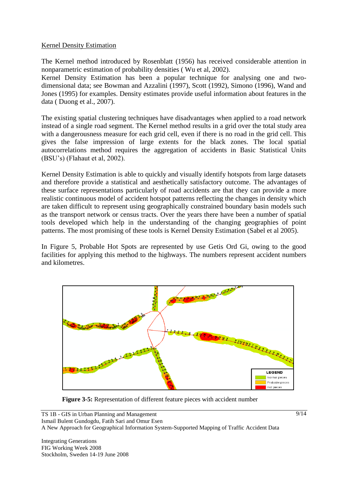### Kernel Density Estimation

The Kernel method introduced by Rosenblatt (1956) has received considerable attention in nonparametric estimation of probability densities ( Wu et al, 2002).

Kernel Density Estimation has been a popular technique for analysing one and twodimensional data; see Bowman and Azzalini (1997), Scott (1992), Simono (1996), Wand and Jones (1995) for examples. Density estimates provide useful information about features in the data ( Duong et al., 2007).

The existing spatial clustering techniques have disadvantages when applied to a road network instead of a single road segment. The Kernel method results in a grid over the total study area with a dangerousness measure for each grid cell, even if there is no road in the grid cell. This gives the false impression of large extents for the black zones. The local spatial autocorrelations method requires the aggregation of accidents in Basic Statistical Units (BSU"s) (Flahaut et al, 2002).

Kernel Density Estimation is able to quickly and visually identify hotspots from large datasets and therefore provide a statistical and aesthetically satisfactory outcome. The advantages of these surface representations particularly of road accidents are that they can provide a more realistic continuous model of accident hotspot patterns reflecting the changes in density which are taken difficult to represent using geographically constrained boundary basin models such as the transport network or census tracts. Over the years there have been a number of spatial tools developed which help in the understanding of the changing geographies of point patterns. The most promising of these tools is Kernel Density Estimation (Sabel et al 2005).

In Figure 5, Probable Hot Spots are represented by use Getis Ord Gi, owing to the good facilities for applying this method to the highways. The numbers represent accident numbers and kilometres.



**Figure 3-5:** Representation of different feature pieces with accident number

9/14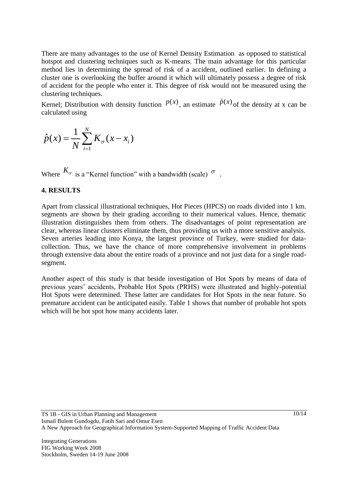There are many advantages to the use of Kernel Density Estimation as opposed to statistical hotspot and clustering techniques such as K-means. The main advantage for this particular method lies in determining the spread of risk of a accident, outlined earlier. In defining a cluster one is overlooking the buffer around it which will ultimately possess a degree of risk of accident for the people who enter it. This degree of risk would not be measured using the clustering techniques.

Kernel; Distribution with density function  $p(x)$ , an estimate  $\hat{p}(x)$  of the density at x can be calculated using

$$
\hat{p}(x) = \frac{1}{N} \sum_{i=1}^{N} K_{\sigma}(x - x_i)
$$

Where  $K_{\sigma}$  is a "Kernel function" with a bandwidth (scale)  $^{\sigma}$ .

#### **4. RESULTS**

Apart from classical illustrational techniques, Hot Pieces (HPCS) on roads divided into 1 km. segments are shown by their grading according to their numerical values. Hence, thematic illustration distinguishes them from others. The disadvantages of point representation are clear, whereas linear clusters eliminate them, thus providing us with a more sensitive analysis. Seven arteries leading into Konya, the largest province of Turkey, were studied for datacollection. Thus, we have the chance of more comprehensive involvement in problems through extensive data about the entire roads of a province and not just data for a single roadsegment.

Another aspect of this study is that beside investigation of Hot Spots by means of data of previous years" accidents, Probable Hot Spots (PRHS) were illustrated and highly-potential Hot Spots were determined. These latter are candidates for Hot Spots in the near future. So premature accident can be anticipated easily. Table 1 shows that number of probable hot spots which will be hot spot how many accidents later.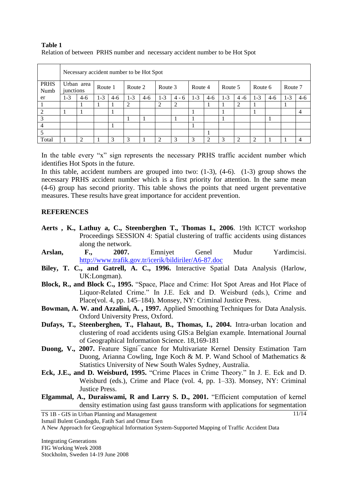#### **Table 1** Relation of between PRHS number and necessary accident number to be Hot Spot

|                     | Necessary accident number to be Hot Spot |                |         |       |         |       |               |               |         |       |         |         |                             |       |         |                |
|---------------------|------------------------------------------|----------------|---------|-------|---------|-------|---------------|---------------|---------|-------|---------|---------|-----------------------------|-------|---------|----------------|
| <b>PRHS</b><br>Numb | Urban area<br>junctions                  |                | Route 1 |       | Route 2 |       | Route 3       |               | Route 4 |       | Route 5 |         | Route 6                     |       | Route 7 |                |
| er                  | $1-3$                                    | $4-6$          | $1 - 3$ | $4-6$ | $1 - 3$ | $4-6$ | $1 - 3$       | $4 - 6$       | $1-3$   | $4-6$ | $1 - 3$ | $4 - 6$ | $1-3$                       | $4-6$ | $1 - 3$ | $4-6$          |
|                     |                                          |                |         |       | 2       |       | 2             | 2             |         |       |         | 2       |                             |       |         |                |
| $\overline{2}$      |                                          |                |         |       |         |       |               |               |         |       |         |         |                             |       |         | 4              |
| 3                   |                                          |                |         |       |         |       |               |               |         |       |         |         |                             |       |         |                |
| $\overline{4}$      |                                          |                |         |       |         |       |               |               |         |       |         |         |                             |       |         |                |
| 5                   |                                          |                |         |       |         |       |               |               |         |       |         |         |                             |       |         |                |
| Total               |                                          | $\mathfrak{D}$ |         | 3     | 3       |       | $\mathcal{D}$ | $\mathcal{F}$ | 3       | ി     | 3       | ∍       | $\mathcal{D}_{\mathcal{L}}$ |       |         | $\overline{4}$ |

In the table every "x" sign represents the necessary PRHS traffic accident number which identifies Hot Spots in the future.

In this table, accident numbers are grouped into two: (1-3), (4-6). (1-3) group shows the necessary PRHS accident number which is a first priority for attention. In the same mean (4-6) group has second priority. This table shows the points that need urgent preventative measures. These results have great importance for accident prevention.

#### **REFERENCES**

- **Aerts , K., Lathuy a, C., Steenberghen T., Thomas I., 2006**. 19th ICTCT workshop Proceedings SESSION 4: Spatial clustering of traffic accidents using distances along the network.
- **Arslan, F., 2007.** Emniyet Genel Mudur Yardimcisi. <http://www.trafik.gov.tr/icerik/bildiriler/A6-87.doc>
- **Biley, T. C., and Gatrell, A. C., 1996.** Interactive Spatial Data Analysis (Harlow, UK:Longman).
- **Block, R., and Block C., 1995.** "Space, Place and Crime: Hot Spot Areas and Hot Place of Liquor-Related Crime." In J.E. Eck and D. Weisburd (eds.), Crime and Place(vol. 4, pp. 145–184). Monsey, NY: Criminal Justice Press.
- **Bowman, A. W. and Azzalini, A. , 1997.** Applied Smoothing Techniques for Data Analysis. Oxford University Press, Oxford.
- **Dufays, T., Steenberghen, T., Flahaut, B., Thomas, I., 2004.** Intra-urban location and clustering of road accidents using GIS:a Belgian example. International Journal of Geographical Information Science. 18,169-181
- **Duong, V., 2007.** Feature Signi<sup>-</sup>cance for Multivariate Kernel Density Estimation Tarn Duong, Arianna Cowling, Inge Koch & M. P. Wand School of Mathematics & Statistics University of New South Wales Sydney, Australia.
- **Eck, J.E., and D. Weisburd, 1995.** "Crime Places in Crime Theory." In J. E. Eck and D. Weisburd (eds.), Crime and Place (vol. 4, pp. 1–33). Monsey, NY: Criminal Justice Press.
- **Elgammal, A., Duraiswami, R and Larry S. D., 2001.** "Efficient computation of kernel density estimation using fast gauss transform with applications for segmentation

TS 1B - GIS in Urban Planning and Management

Ismail Bulent Gundogdu, Fatih Sari and Omur Esen

A New Approach for Geographical Information System-Supported Mapping of Traffic Accident Data

Integrating Generations FIG Working Week 2008 Stockholm, Sweden 14-19 June 2008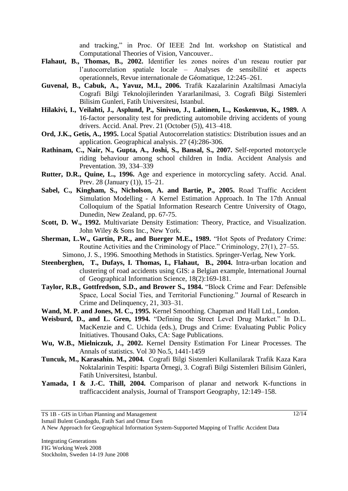and tracking," in Proc. Of IEEE 2nd Int. workshop on Statistical and Computational Theories of Vision, Vancouver..

- **Flahaut, B., Thomas, B., 2002.** Identifier les zones noires d'un reseau routier par l"autocorrelation spatiale locale – Analyses de sensibilité et aspects operationnels, Revue internationale de Géomatique, 12:245–261.
- **Guvenal, B., Cabuk, A., Yavuz, M.I., 2006.** Trafik Kazalarinin Azaltilmasi Amaciyla Cografi Bilgi Teknolojilerinden Yararlanilmasi, 3. Cografi Bilgi Sistemleri Bilisim Gunleri, Fatih Universitesi, Istanbul.
- **Hilakivi, I., Veilahti, J., Asplund, P., Sinivuo, J., Laitinen, L., Koskenvuo, K., 1989.** A 16-factor personality test for predicting automobile driving accidents of young drivers. Accid. Anal. Prev. 21 (October (5)), 413–418.
- **Ord, J.K., Getis, A., 1995.** Local Spatial Autocorrelation statistics: Distribution issues and an application. Geographical analysis. 27 (4):286-306.
- **Rathinam, C., Nair, N., Gupta, A., Joshi, S., Bansal, S., 2007.** Self-reported motorcycle riding behaviour among school children in India. Accident Analysis and Preventation. 39, 334–339
- **Rutter, D.R., Quine, L., 1996.** Age and experience in motorcycling safety. Accid. Anal. Prev. 28 (January (1)), 15–21.
- **Sabel, C., Kingham, S., Nicholson, A. and Bartie, P., 2005.** Road Traffic Accident Simulation Modelling - A Kernel Estimation Approach. In The 17th Annual Colloquium of the Spatial Information Research Centre University of Otago, Dunedin, New Zealand, pp. 67-75.
- **Scott, D. W., 1992.** Multivariate Density Estimation: Theory, Practice, and Visualization. John Wiley & Sons Inc., New York.
- **Sherman, L.W., Gartin, P.R., and Buerger M.E., 1989.** "Hot Spots of Predatory Crime: Routine Activities and the Criminology of Place." Criminology, 27(1), 27–55.
	- Simono, J. S., 1996. Smoothing Methods in Statistics. Springer-Verlag, New York.
- **Steenberghen, T., Dufays, I. Thomas, I., Flahaut, B., 2004.** Intra-urban location and clustering of road accidents using GIS: a Belgian example, International Journal of Geographical Information Science, 18(2):169-181.
- **Taylor, R.B., Gottfredson, S.D., and Brower S., 1984.** "Block Crime and Fear: Defensible Space, Local Social Ties, and Territorial Functioning." Journal of Research in Crime and Delinquency, 21, 303–31.
- **Wand, M. P. and Jones, M. C., 1995.** Kernel Smoothing. Chapman and Hall Ltd., London.
- **Weisburd, D., and L. Gren, 1994.** "Defining the Street Level Drug Market." In D.L. MacKenzie and C. Uchida (eds.), Drugs and Crime: Evaluating Public Policy Initiatives. Thousand Oaks, CA: Sage Publications.
- **Wu, W.B., Mielniczuk, J., 2002.** Kernel Density Estimation For Linear Processes. The Annals of statistics. Vol 30 No.5, 1441-1459
- **Tuncuk, M., Karasahin. M., 2004.** Cografi Bilgi Sistemleri Kullanilarak Trafik Kaza Kara Noktalarinin Tespiti: Isparta Örnegi, 3. Cografi Bilgi Sistemleri Bilisim Günleri, Fatih Universitesi, Istanbul.
- **Yamada, I & J.-C. Thill, 2004.** Comparison of planar and network K-functions in trafficaccident analysis, Journal of Transport Geography, 12:149–158.

Ismail Bulent Gundogdu, Fatih Sari and Omur Esen

A New Approach for Geographical Information System-Supported Mapping of Traffic Accident Data

TS 1B - GIS in Urban Planning and Management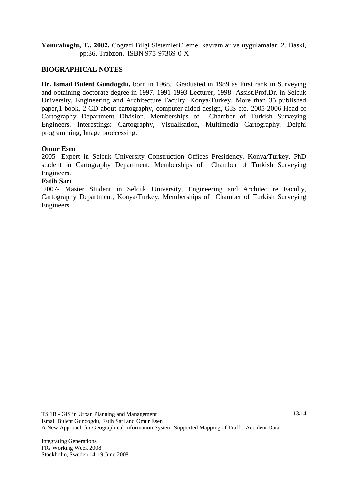**Yomralıoglu, T., 2002.** Cografi Bilgi Sistemleri.Temel kavramlar ve uygulamalar. 2. Baski, pp:36, Trabzon. ISBN 975-97369-0-X

### **BIOGRAPHICAL NOTES**

**Dr. Ismail Bulent Gundogdu,** born in 1968. Graduated in 1989 as First rank in Surveying and obtaining doctorate degree in 1997. 1991-1993 Lecturer, 1998- Assist.Prof.Dr. in Selcuk University, Engineering and Architecture Faculty, Konya/Turkey. More than 35 published paper,1 book, 2 CD about cartography, computer aided design, GIS etc. 2005-2006 Head of Cartography Department Division. Memberships of Chamber of Turkish Surveying Engineers. Interestings: Cartography, Visualisation, Multimedia Cartography, Delphi programming, Image proccessing.

#### **Omur Esen**

2005- Expert in Selcuk University Construction Offices Presidency. Konya/Turkey. PhD student in Cartography Department. Memberships of Chamber of Turkish Surveying Engineers.

### **Fatih Sarı**

2007- Master Student in Selcuk University, Engineering and Architecture Faculty, Cartography Department, Konya/Turkey. Memberships of Chamber of Turkish Surveying Engineers.